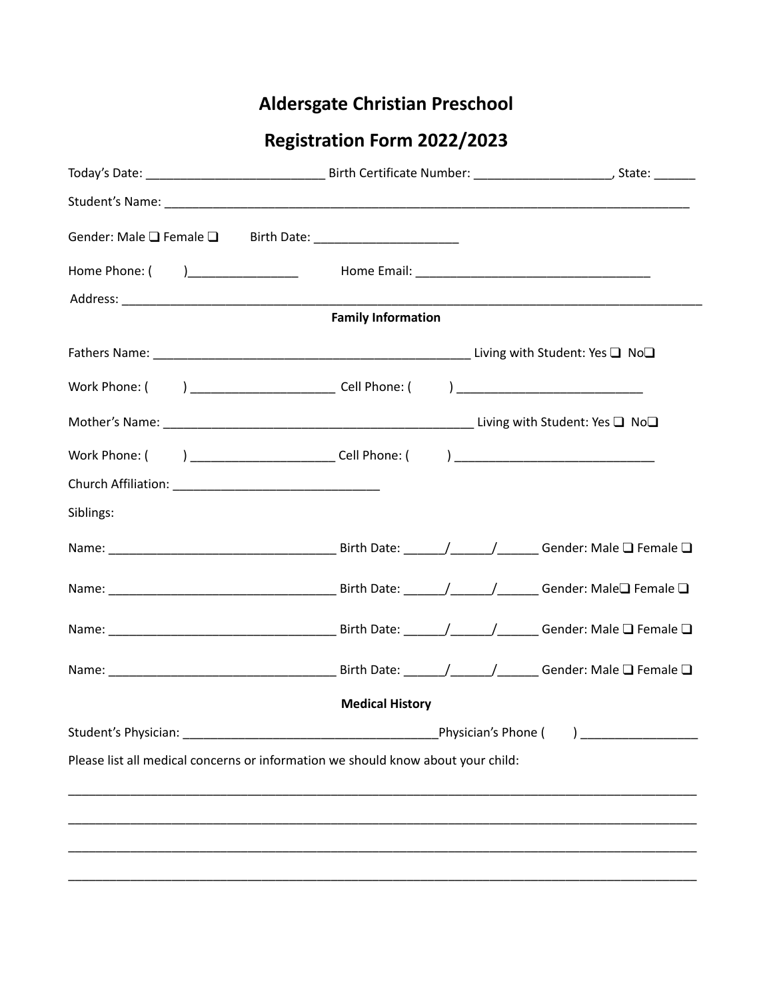## **Aldersgate Christian Preschool**

## **Registration Form 2022/2023**

|                                                                                  | <b>Family Information</b> |                      |
|----------------------------------------------------------------------------------|---------------------------|----------------------|
|                                                                                  |                           |                      |
|                                                                                  |                           |                      |
|                                                                                  |                           |                      |
|                                                                                  |                           |                      |
|                                                                                  |                           |                      |
|                                                                                  |                           |                      |
| Siblings:                                                                        |                           |                      |
|                                                                                  |                           |                      |
|                                                                                  |                           |                      |
|                                                                                  |                           |                      |
|                                                                                  |                           |                      |
|                                                                                  | <b>Medical History</b>    |                      |
| Student's Physician:                                                             |                           | Physician's Phone () |
| Please list all medical concerns or information we should know about your child: |                           |                      |
|                                                                                  |                           |                      |
|                                                                                  |                           |                      |
|                                                                                  |                           |                      |
|                                                                                  |                           |                      |